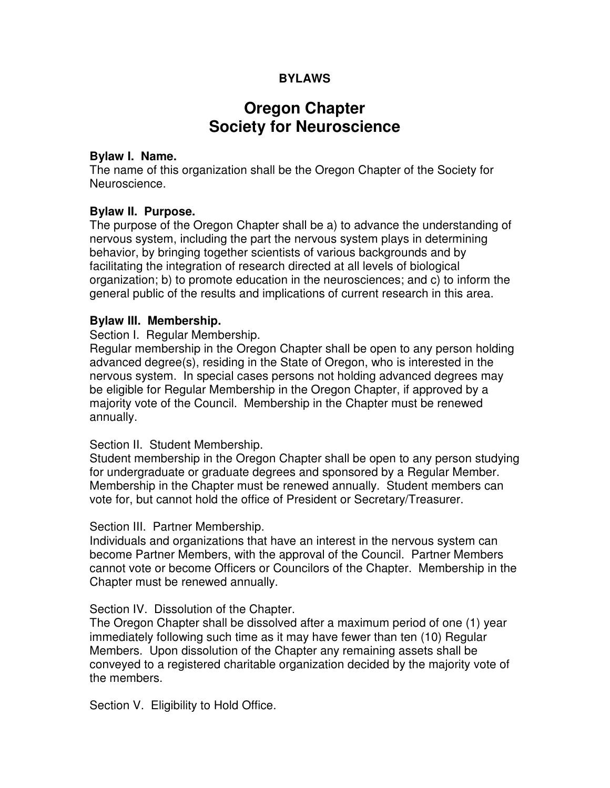# **BYLAWS**

# **Oregon Chapter Society for Neuroscience**

### **Bylaw I. Name.**

The name of this organization shall be the Oregon Chapter of the Society for Neuroscience.

## **Bylaw II. Purpose.**

The purpose of the Oregon Chapter shall be a) to advance the understanding of nervous system, including the part the nervous system plays in determining behavior, by bringing together scientists of various backgrounds and by facilitating the integration of research directed at all levels of biological organization; b) to promote education in the neurosciences; and c) to inform the general public of the results and implications of current research in this area.

### **Bylaw III. Membership.**

Section I. Regular Membership.

Regular membership in the Oregon Chapter shall be open to any person holding advanced degree(s), residing in the State of Oregon, who is interested in the nervous system. In special cases persons not holding advanced degrees may be eligible for Regular Membership in the Oregon Chapter, if approved by a majority vote of the Council. Membership in the Chapter must be renewed annually.

### Section II. Student Membership.

Student membership in the Oregon Chapter shall be open to any person studying for undergraduate or graduate degrees and sponsored by a Regular Member. Membership in the Chapter must be renewed annually. Student members can vote for, but cannot hold the office of President or Secretary/Treasurer.

### Section III. Partner Membership.

Individuals and organizations that have an interest in the nervous system can become Partner Members, with the approval of the Council. Partner Members cannot vote or become Officers or Councilors of the Chapter. Membership in the Chapter must be renewed annually.

### Section IV. Dissolution of the Chapter.

The Oregon Chapter shall be dissolved after a maximum period of one (1) year immediately following such time as it may have fewer than ten (10) Regular Members. Upon dissolution of the Chapter any remaining assets shall be conveyed to a registered charitable organization decided by the majority vote of the members.

Section V. Eligibility to Hold Office.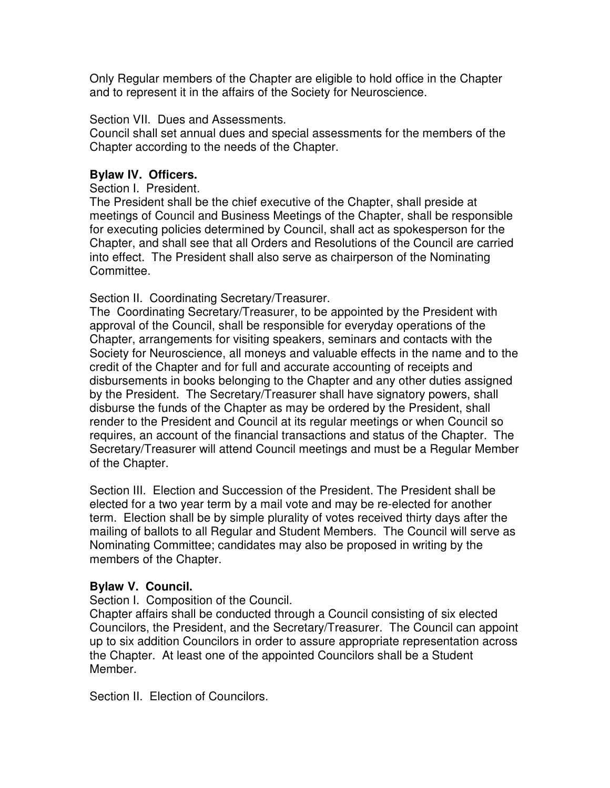Only Regular members of the Chapter are eligible to hold office in the Chapter and to represent it in the affairs of the Society for Neuroscience.

Section VII. Dues and Assessments.

Council shall set annual dues and special assessments for the members of the Chapter according to the needs of the Chapter.

# **Bylaw IV. Officers.**

Section I. President.

The President shall be the chief executive of the Chapter, shall preside at meetings of Council and Business Meetings of the Chapter, shall be responsible for executing policies determined by Council, shall act as spokesperson for the Chapter, and shall see that all Orders and Resolutions of the Council are carried into effect. The President shall also serve as chairperson of the Nominating Committee.

Section II. Coordinating Secretary/Treasurer.

The Coordinating Secretary/Treasurer, to be appointed by the President with approval of the Council, shall be responsible for everyday operations of the Chapter, arrangements for visiting speakers, seminars and contacts with the Society for Neuroscience, all moneys and valuable effects in the name and to the credit of the Chapter and for full and accurate accounting of receipts and disbursements in books belonging to the Chapter and any other duties assigned by the President. The Secretary/Treasurer shall have signatory powers, shall disburse the funds of the Chapter as may be ordered by the President, shall render to the President and Council at its regular meetings or when Council so requires, an account of the financial transactions and status of the Chapter. The Secretary/Treasurer will attend Council meetings and must be a Regular Member of the Chapter.

Section III. Election and Succession of the President. The President shall be elected for a two year term by a mail vote and may be re-elected for another term. Election shall be by simple plurality of votes received thirty days after the mailing of ballots to all Regular and Student Members. The Council will serve as Nominating Committee; candidates may also be proposed in writing by the members of the Chapter.

# **Bylaw V. Council.**

Section I. Composition of the Council.

Chapter affairs shall be conducted through a Council consisting of six elected Councilors, the President, and the Secretary/Treasurer. The Council can appoint up to six addition Councilors in order to assure appropriate representation across the Chapter. At least one of the appointed Councilors shall be a Student Member.

Section II. Election of Councilors.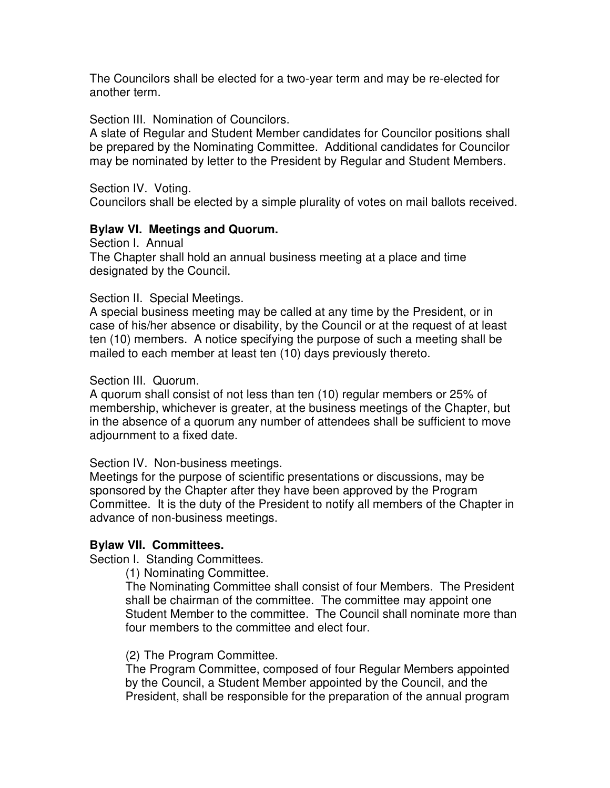The Councilors shall be elected for a two-year term and may be re-elected for another term.

Section III. Nomination of Councilors.

A slate of Regular and Student Member candidates for Councilor positions shall be prepared by the Nominating Committee. Additional candidates for Councilor may be nominated by letter to the President by Regular and Student Members.

Section IV. Voting.

Councilors shall be elected by a simple plurality of votes on mail ballots received.

## **Bylaw VI. Meetings and Quorum.**

Section I. Annual The Chapter shall hold an annual business meeting at a place and time designated by the Council.

Section II. Special Meetings.

A special business meeting may be called at any time by the President, or in case of his/her absence or disability, by the Council or at the request of at least ten (10) members. A notice specifying the purpose of such a meeting shall be mailed to each member at least ten (10) days previously thereto.

Section III. Quorum.

A quorum shall consist of not less than ten (10) regular members or 25% of membership, whichever is greater, at the business meetings of the Chapter, but in the absence of a quorum any number of attendees shall be sufficient to move adjournment to a fixed date.

Section IV. Non-business meetings.

Meetings for the purpose of scientific presentations or discussions, may be sponsored by the Chapter after they have been approved by the Program Committee. It is the duty of the President to notify all members of the Chapter in advance of non-business meetings.

## **Bylaw VII. Committees.**

Section I. Standing Committees.

(1) Nominating Committee.

The Nominating Committee shall consist of four Members. The President shall be chairman of the committee. The committee may appoint one Student Member to the committee. The Council shall nominate more than four members to the committee and elect four.

## (2) The Program Committee.

The Program Committee, composed of four Regular Members appointed by the Council, a Student Member appointed by the Council, and the President, shall be responsible for the preparation of the annual program